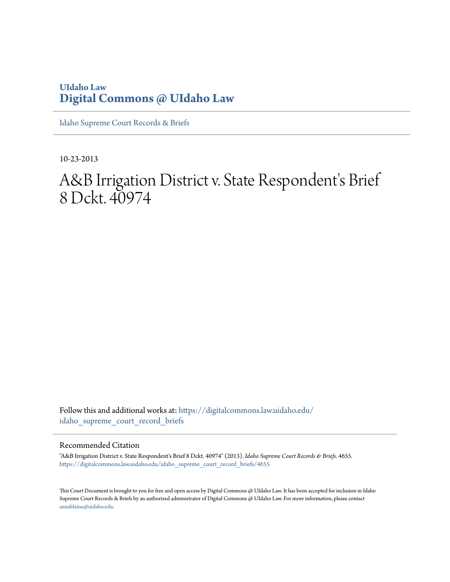## **UIdaho Law [Digital Commons @ UIdaho Law](https://digitalcommons.law.uidaho.edu?utm_source=digitalcommons.law.uidaho.edu%2Fidaho_supreme_court_record_briefs%2F4655&utm_medium=PDF&utm_campaign=PDFCoverPages)**

[Idaho Supreme Court Records & Briefs](https://digitalcommons.law.uidaho.edu/idaho_supreme_court_record_briefs?utm_source=digitalcommons.law.uidaho.edu%2Fidaho_supreme_court_record_briefs%2F4655&utm_medium=PDF&utm_campaign=PDFCoverPages)

10-23-2013

# A&B Irrigation District v. State Respondent's Brief 8 Dckt. 40974

Follow this and additional works at: [https://digitalcommons.law.uidaho.edu/](https://digitalcommons.law.uidaho.edu/idaho_supreme_court_record_briefs?utm_source=digitalcommons.law.uidaho.edu%2Fidaho_supreme_court_record_briefs%2F4655&utm_medium=PDF&utm_campaign=PDFCoverPages) [idaho\\_supreme\\_court\\_record\\_briefs](https://digitalcommons.law.uidaho.edu/idaho_supreme_court_record_briefs?utm_source=digitalcommons.law.uidaho.edu%2Fidaho_supreme_court_record_briefs%2F4655&utm_medium=PDF&utm_campaign=PDFCoverPages)

#### Recommended Citation

"A&B Irrigation District v. State Respondent's Brief 8 Dckt. 40974" (2013). *Idaho Supreme Court Records & Briefs*. 4655. [https://digitalcommons.law.uidaho.edu/idaho\\_supreme\\_court\\_record\\_briefs/4655](https://digitalcommons.law.uidaho.edu/idaho_supreme_court_record_briefs/4655?utm_source=digitalcommons.law.uidaho.edu%2Fidaho_supreme_court_record_briefs%2F4655&utm_medium=PDF&utm_campaign=PDFCoverPages)

This Court Document is brought to you for free and open access by Digital Commons @ UIdaho Law. It has been accepted for inclusion in Idaho Supreme Court Records & Briefs by an authorized administrator of Digital Commons @ UIdaho Law. For more information, please contact [annablaine@uidaho.edu](mailto:annablaine@uidaho.edu).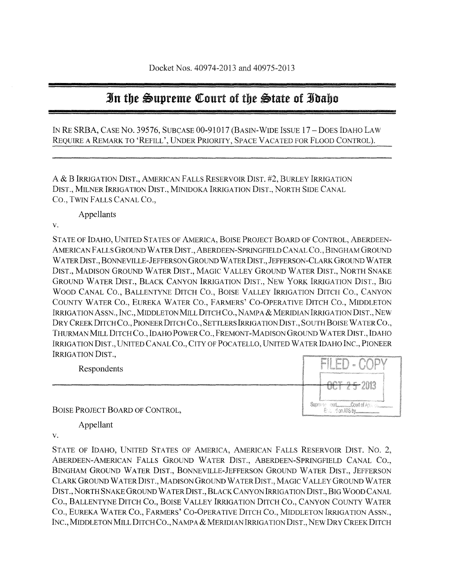# **In the Supreme Court of the State of Idaho**

IN RE SRBA, CASE No. 39576, SUBCASE 00-91017 (BASIN-WIDE ISSUE 17 -DOES IDAHO LAW REQUIRE A REMARK TO 'REFILL', UNDER PRIORITY, SPACE VACATED FOR FLOOD CONTROL).

A & B IRRIGATION DIST., AMERICAN FALLS RESERVOIR DIST. #2, BURLEY IRRIGATION DIST., MILNER IRRIGATION DIST., MINIDOKA IRRIGATION DIST., NORTH SIDE CANAL CO., TWIN FALLS CANAL CO.,

Appellants

v.

STATE OF IDAHO, UNITED STATES OF AMERICA, BOISE PROJECT BOARD OF CONTROL, ABERDEEN-AMERICAN FALLS GROUND WATER DIST., ABERDEEN-SPRINGFIELD CANAL CO., BINGHAM GROUND WATER DIST., BONNEVILLE-JEFFERSON GROUND WATER DIST., JEFFERSON-CLARK GROUND WATER DIST., MADISON GROUND WATER DIST., MAGIC VALLEY GROUND WATER DIST., NORTH SNAKE GROUND WATER DIST., BLACK CANYON IRRIGATION DIST., NEW YORK IRRIGATION DIST., BIG WOOD CANAL CO., BALLENTYNE DITCH CO., BOISE VALLEY IRRIGATION DITCH CO., CANYON COUNTY WATER CO., EUREKA WATER CO., FARMERS' CO-OPERATIVE DITCH CO., MIDDLETON IRRIGATION ASSN., INC., MIDDLETON MILL DITCH CO., NAMPA & MERIDIAN IRRIGATION DIST., NEW DRY CREEK DITCH CO., PIONEER DITCH CO., SETTLERS IRRIGATION DIST., SOUTH BOISE WATER CO., THURMAN MILL DITCH CO., IDAHO POWER CO., FREMONT-MADISON GROUND WATER DIST., IDAHO IRRIGATION DIST., UNITED CANAL CO., CITY OF POCATELLO, UNITED WATER IDAHO INC., PIONEER IRRIGATION DIST.,

| Respondents                     | Reco<br>Streets<br>Matatananan di pampangan perbentukan dan menya                                                                                                                                  |
|---------------------------------|----------------------------------------------------------------------------------------------------------------------------------------------------------------------------------------------------|
|                                 | uu i                                                                                                                                                                                               |
| BOISE PROJECT BOARD OF CONTROL, | A MARKA SHOLD REPORTED TO A 49 YO F AND RELEASED FOR THE RESIDENCE OF A STATE OF CONTRACTOR<br>For 1<br>500mmmm/absorption/interactions/content/content/programs/absorption-absorption-absorption- |

Appellant

v.

STATE OF IDAHO, UNITED STATES OF AMERICA, AMERICAN FALLS RESERVOIR DIST. No.2, ABERDEEN-AMERICAN FALLS GROUND WATER DIST., ABERDEEN-SPRINGFIELD CANAL CO., BINGHAM GROUND WATER DIST., BONNEVILLE-JEFFERSON GROUND WATER DIST., JEFFERSON CLARK GROUND WATER DIST., MADISON GROUND WATER DIST., MAGIC VALLEY GROUND WATER DIST., NORTH SNAKE GROUND WATER DIST., BLACK CANYON IRRIGATION DIST., BIG WOOD CANAL CO., BALLENTYNE DITCH CO., BOISE VALLEY IRRIGATION DITCH CO., CANYON COUNTY WATER CO., EUREKA WATER CO., FARMERS ' CO-OPERATIVE DITCH CO., MIDDLETON IRRIGATION ASSN., INC., MIDDLETON MILL DITCH CO., NAMPA & MERIDIAN IRRIGATION DIST., NEW DRY CREEK DITCH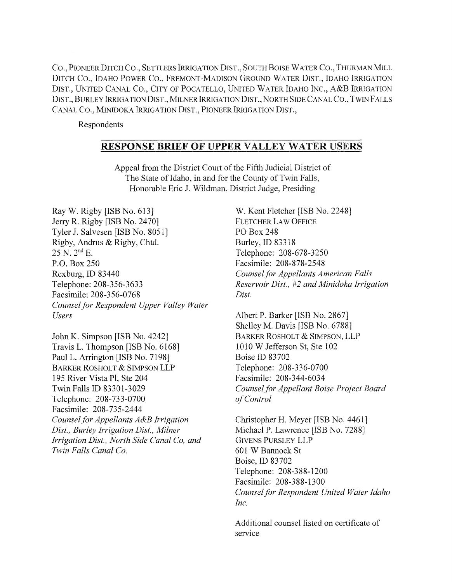CO., PIONEER DITCH CO., SETTLERS IRRIGATION DIST., SOUTH BOISE WATER CO., THURMAN MILL DITCH CO., IDAHO POWER CO., FREMONT-MADISON GROUND WATER DIST., IDAHO IRRIGATION DIST., UNITED CANAL CO., CITY OF POCATELLO, UNITED WATER IDAHO INC., A&B IRRIGATION DIST., BURLEY IRRIGATION DIST., MILNER IRRIGATION DIST., NORTH SIDE CANAL CO., TWIN FALLS CANAL CO., MINIDOKA IRRIGATION DIST., PIONEER IRRIGATION DIST.,

Respondents

### RESPONSE BRIEF OF UPPER VALLEY WATER USERS

Appeal from the District Court of the Fifth Judicial District of The State of Idaho, in and for the County of Twin Falls, Honorable Eric J. Wildman, District Judge, Presiding

Ray W. Rigby [ISB No. 613] Jerry R. Rigby [ISB No. 2470] Tyler 1. Salvesen [ISB No. 8051] Rigby, Andrus & Rigby, Chtd. 25 N. 2nd E. P.O. Box 250 Rexburg, ID 83440 Telephone: 208-356-3633 Facsimile: 208-356-0768 *Counsel for Respondent Upper Valley Water Users* 

John K. Simpson [ISB No. 4242] Travis L. Thompson [ISB No. 6168] Paul L. Arrington [ISB No. 7198] BARKER ROSHOLT & SIMPSON LLP 195 River Vista PI, Ste 204 Twin Falls ID 83301-3029 Telephone: 208-733-0700 Facsimile: 208-735-2444 *Counsel for Appellants A&B Irrigation Dist., Burley Irrigation Dist., Milner Irrigation Dist., North Side Canal Co, and Twin Falls Canal Co.* 

W. Kent Fletcher [ISB No. 2248] FLETCHER LAW OFFICE PO Box 248 Burley, ID 83318 Telephone: 208-678-3250 Facsimile: 208-878-2548 *Counsel for Appellants American Falls Reservoir Dist.,* #2 *and Minidoka Irrigation Dist.* 

Albert P. Barker [ISB No. 2867] Shelley M. Davis [ISB No. 6788] BARKER ROSHOLT & SIMPSON, LLP 1010 W Jefferson St, Ste 102 Boise ID 83702 Telephone: 208-336-0700 Facsimile: 208-344-6034 *Counsel for Appellant Boise Project Board of Control* 

Christopher H. Meyer [ISB No. 4461] Michael P. Lawrence [ISB No. 7288] GIVENS PURSLEY LLP 601 W Bannock St Boise, ID 83702 Telephone: 208-388-1200 Facsimile: 208-388-1300 *Counsel for Respondent United Water Idaho Inc.* 

Additional counsel listed on certificate of service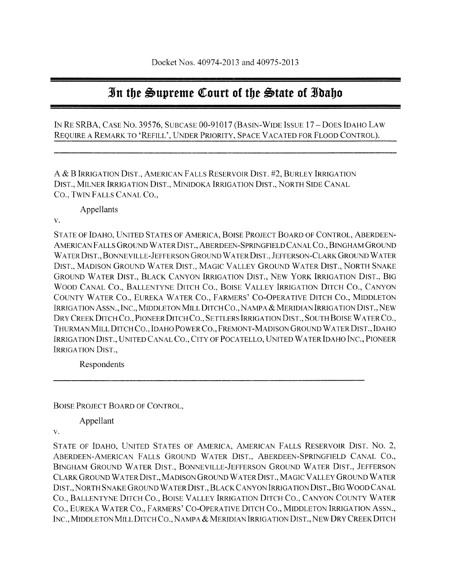# **In tbt** ~uprtmt ~ourt **of tbt** ~tatt **of Jbabo**

IN RE SRBA, CASE No. 39576, SUBCASE 00-91017 (BASIN-WIDE ISSUE 17 -DOES IDAHO LAW REQUIRE A REMARK TO 'REFILL', UNDER PRIORITY, SPACE VACATED FOR FLOOD CONTROL).

A & B IRRIGATION DIST., AMERICAN FALLS RESERVOIR DIST. #2, BURLEY IRRIGATION DIST., MILNER IRRIGATION DIST., MINIDOKA IRRIGATION DIST., NORTH SIDE CANAL CO., TWIN FALLS CANAL CO.,

Appellants

v.

STATE OF IDAHO, UNITED STATES OF AMERICA, BOISE PROJECT BOARD OF CONTROL, ABERDEEN-AMERICAN FALLS GROUND W ATERDIST., ABERDEEN-SPRINGFIELD CANAL CO., BINGHAM GROUND W ATERDIST., BONNEVILLE-JEFFERSON GROUND W ATERDIST., JEFFERSON-CLARK GROUND WATER DlST., MADISON GROUND WATER DIST., MAGIC V ALLEY GROUND WATER DIST., NORTH SNAKE GROUND WATER DIST., BLACK CANYON IRRIGATION DIST., NEW YORK IRRIGATION DIST., **BIG**  WOOD CANAL CO., BALLENTYNE DITCH CO., BOISE V ALLEY IRRIGATION DITCH CO., CANYON COUNTY WATER CO., EUREKA WATER CO., FARMERS' CO-OPERATIVE DITCH CO., MIDDLETON IRRIGATION ASSN., INC., MIDDLETON MILL DITCH CO., NAMPA & MERIDIAN IRRIGATION DIST., NEW DRY CREEK DITCH Co., PIONEER DITCH CO., SETTLERS IRRIGATION DIST., SOUTH BOISE WATER CO., THURMAN MILL DITCH CO., IDAHO POWERCO., FREMONT-MADISON GROUND WATERDIST.,IDAHO IRRIGATION DlST., UNITED CANAL CO., CITY OF POCATELLO, UNITED WATER IDAHO INC., PIONEER IRRIGATION DIST.,

Respondents

BOISE PROJECT BOARD OF CONTROL,

Appellant

v.

STATE OF IDAHO, UNITED STATES OF AMERICA, AMERICAN FALLS RESERVOIR DIST. NO.2, ABERDEEN-AMERICAN FALLS GROUND WATER DIST., ABERDEEN-SPRINGFIELD CANAL CO., BINGHAM GROUND WATER DIST., BONNEVILLE-JEFFERSON GROUND WATER DIST., JEFFERSON CLARK GROUND WATER DIST., MADISON GROUND WATER DIST., MAGIC VALLEY GROUND WATER DIST., NORTH SNAKE GROUND WATER DIST., BLACK CANYON IRRIGATION DIST., BIG WOOD CANAL CO., BALLENTYNE DITCH CO., BOISE VALLEY IRRIGATION DITCH CO., CANYON COUNTY WATER CO., EUREKA WATER CO., FARMERS' CO-OPERATIVE DITCH CO., MIDDLETON IRRIGATION ASSN., INC., MIDDLETON MILL DITCH CO., NAMPA & MERIDIAN IRRIGATION DIST., NEW DRY CREEK DITCH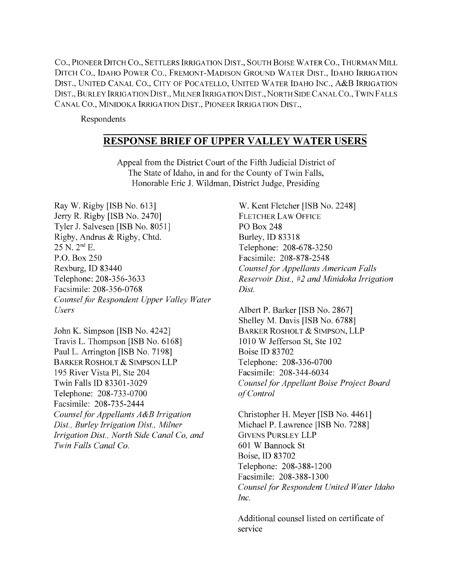CO., PIONEER DITCH CO., SETTLERS IRRIGATION DIST., SOUTH BOISE WATER CO., THURMAN MILL DITCH CO., IDAHO POWER CO., FREMONT-MADISON GROUND WATER DIST., IDAHO IRRIGATION DIST., UNITED CANAL CO., CITY OF POCATELLO, UNITED WATER IDAHO INC., A&B IRRIGATION DIST., BURLEY IRRIGATION DIST., MILNER IRRIGATION DIST., NORTH SIDE CANAL CO., TWIN FALLS CANAL CO., MINIDOKA IRRIGATION DIST., PIONEER IRRIGATION DIST.,

Respondents

### **RESPONSE BRIEF OF UPPER VALLEY WATER USERS**

Appeal from the District Court of the Fifth Judicial District of The State of Idaho, in and for the County of Twin Falls, Honorable Eric J. Wildman, District Judge, Presiding

Ray W. Rigby [ISB No. 613] Jerry R. Rigby [ISB No. 2470] Tyler J. Salvesen [ISB No. 8051] Rigby, Andrus & Rigby, Chtd. 25 N. 2nd E. P.O. Box 250 Rexburg, ID 83440 Telephone: 208-356-3633 Facsimile: 208-356-0768 *Counsel for Respondent Upper Valley Water Users* 

John K. Simpson [ISB No. 4242] Travis L. Thompson [ISB No. 6168] Paul L. Arrington [ISB No. 7198] BARKER ROSHOLT & SIMPSON LLP 195 River Vista PI, Ste 204 Twin Falls ID 83301-3029 Telephone: 208-733-0700 Facsimile: 208-735-2444 *Counsel for Appellants A&B Irrigation Dist., Burley Irrigation Dist., Milner Irrigation Dist., North Side Canal Co, and Twin Falls Canal Co.* 

W. Kent Fletcher [ISB No. 2248] FLETCHER LAW OFFICE PO Box 248 Burley, ID 83318 Telephone: 208-678-3250 Facsimile: 208-878-2548 *Counsel for Appellants American Falls Reservoir Dist.,* #2 *and Minidoka Irrigation Dist.* 

Albert P. Barker [ISB No. 2867] Shelley M. Davis [ISB No. 6788] BARKER ROSHOLT & SIMPSON, LLP 1010 W Jefferson St, Ste 102 Boise ID 83702 Telephone: 208-336-0700 Facsimile: 208-344-6034 *Counselfor Appellant Boise Project Board of Control* 

Christopher H. Meyer [ISB No. 4461] Michael P. Lawrence [ISB No. 7288] GIVENS PURSLEY LLP 601 W Bannock St Boise, ID 83702 Telephone: 208-388-1200 Facsimile: 208-388-1300 *Counsel for Respondent United Water Idaho Inc.* 

Additional counsel listed on certificate of service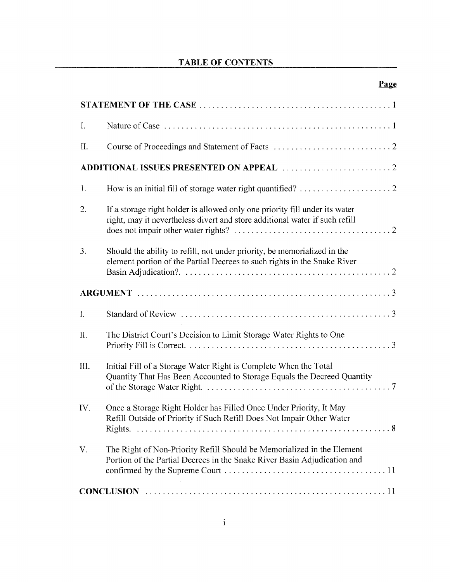# TABLE OF CONTENTS

# Page

| $I_{\cdot}$ |                                                                                                                                                            |
|-------------|------------------------------------------------------------------------------------------------------------------------------------------------------------|
| II.         |                                                                                                                                                            |
|             |                                                                                                                                                            |
| 1.          |                                                                                                                                                            |
| 2.          | If a storage right holder is allowed only one priority fill under its water<br>right, may it nevertheless divert and store additional water if such refill |
| 3.          | Should the ability to refill, not under priority, be memorialized in the<br>element portion of the Partial Decrees to such rights in the Snake River       |
|             |                                                                                                                                                            |
| I.          |                                                                                                                                                            |
| II.         | The District Court's Decision to Limit Storage Water Rights to One                                                                                         |
| III.        | Initial Fill of a Storage Water Right is Complete When the Total<br>Quantity That Has Been Accounted to Storage Equals the Decreed Quantity                |
| IV.         | Once a Storage Right Holder has Filled Once Under Priority, It May<br>Refill Outside of Priority if Such Refill Does Not Impair Other Water                |
| V.          | The Right of Non-Priority Refill Should be Memorialized in the Element<br>Portion of the Partial Decrees in the Snake River Basin Adjudication and         |
|             | <b>CONCLUSION</b>                                                                                                                                          |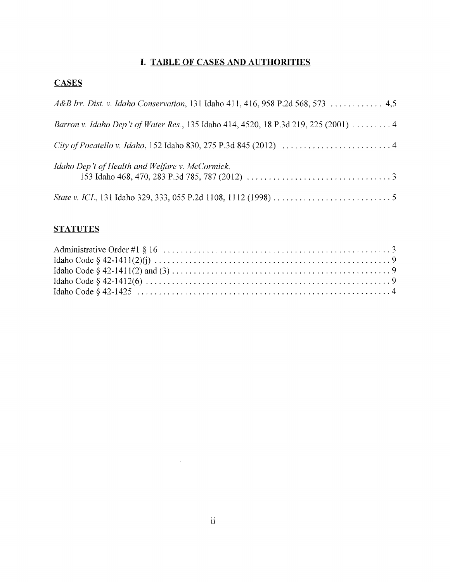### I. **TABLE OF CASES AND AUTHORITIES**

# **CASES**

| A&B Irr. Dist. v. Idaho Conservation, 131 Idaho 411, 416, 958 P.2d 568, 573  4,5     |
|--------------------------------------------------------------------------------------|
| Barron v. Idaho Dep't of Water Res., 135 Idaho 414, 4520, 18 P.3d 219, 225 (2001)  4 |
|                                                                                      |
| Idaho Dep't of Health and Welfare v. McCormick,                                      |
|                                                                                      |

# **STATUTES**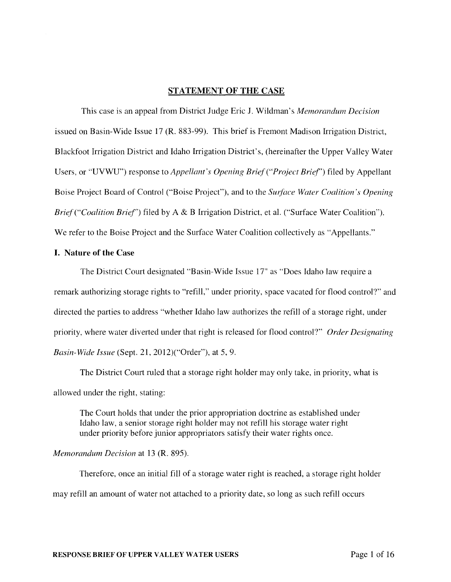#### STATEMENT **OF THE** CASE

This case is an appeal from District Judge Eric J. Wildman's *Memorandum Decision*  issued on Basin-Wide Issue 17 (R. 883-99). This brief is Fremont Madison Irrigation District, Blackfoot Irrigation District and Idaho Irrigation District's, (hereinafter the Upper Valley Water Users, or "UVWU") response to *Appellant's Opening Brief ("Project Brief')* filed by Appellant Boise Project Board of Control ("Boise Project"), and to the *Surface Water Coalition's Opening Brief ("Coalition Brief')* filed by A & B Irrigation District, et al. ("Surface Water Coalition"). We refer to the Boise Project and the Surface Water Coalition collectively as "Appellants."

#### **I.** Nature of **the** Case

The District Court designated "Basin-Wide Issue 17" as "Does Idaho law require a remark authorizing storage rights to "refill," under priority, space vacated for flood control?" and directed the parties to address "whether Idaho law authorizes the refill of a storage right, under priority, where water diverted under that right is released for flood control,?" *Order Designating Basin-Wide Issue* (Sept. 21, 2012)("Order"), at 5,9.

The District Court ruled that a storage right holder may only take, in priority, what is allowed under the right, stating:

The Court holds that under the prior appropriation doctrine as established under Idaho law, a senior storage right holder may not refill his storage water right under priority before junior appropriators satisfy their water rights once.

#### *Memorandum Decision* at 13 (R. 895).

Therefore, once an initial fill of a storage water right is reached, a storage right holder may refill an amount of water not attached to a priority date, so long as such refill occurs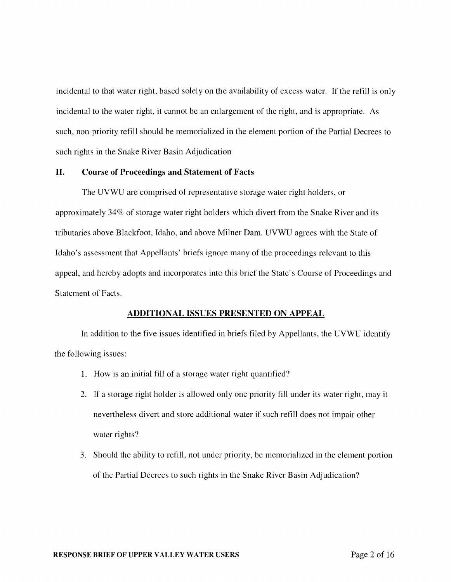incidental to that water right, based solely on the availability of excess water. If the refill is only incidental to the water right, it cannot be an enlargement of the right, and is appropriate. As such, non-priority refill should be memorialized in the element portion of the Partial Decrees to such rights in the Snake River Basin Adjudication

#### II. Course of Proceedings and Statement of Facts

The UVWU are comprised of representative storage water right holders, or approximately 34% of storage water right holders which divert from the Snake River and its tributaries above Blackfoot, Idaho, and above Milner Dam. UVWU agrees with the State of Idaho's assessment that Appellants' briefs ignore many of the proceedings relevant to this appeal, and hereby adopts and incorporates into this brief the State's Course of Proceedings and Statement of Facts.

#### ADDITIONAL ISSUES PRESENTED ON APPEAL

In addition to the five issues identified in briefs filed by Appellants, the UVWU identify the following issues:

- 1. How is an initial fill of a storage water right quantified?
- 2. If a storage right holder is allowed only one priority fill under its water right, may it nevertheless divert and store additional water if such refill does not impair other water rights?
- 3. Should the ability to refill, not under priority, be memorialized in the element portion of the Partial Decrees to such rights in the Snake River Basin Adjudication?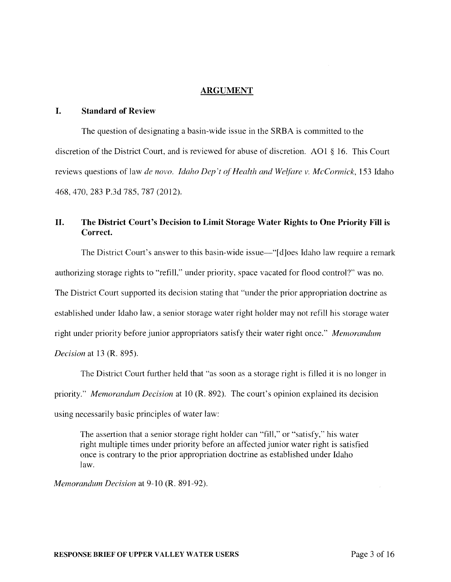#### ARGUMENT

#### I. Standard of Review

The question of designating a basin-wide issue in the SRBA is committed to the discretion of the District Court, and is reviewed for abuse of discretion. AO 1 § 16. This Court reviews questions of law *de novo. Idaho Dep't of Health and We(fare v. McCormick,* 153 Idaho 468,470,283 P.3d 785, 787 (2012).

### II. The District Court's Decision to Limit Storage Water Rights to One Priority Fill is Correct.

The District Court's answer to this basin-wide issue—"[d]oes Idaho law require a remark authorizing storage rights to "refill," under priority, space vacated for flood control?" was no. The District Court supported its decision stating that "under the prior appropriation doctrine as established under Idaho law, a senior storage water right holder may not refill his storage water right under priority before junior appropriators satisfy their water right once." *Memorandum Decision* at 13 (R. 895).

The District Court further held that "as soon as a storage right is filled it is no longer in priority." *Memorandum Decision* at 10 (R. 892). The court's opinion explained its decision using necessarily basic principles of water law:

The assertion that a senior storage right holder can "fill," or "satisfy," his water right multiple times under priority before an affected junior water right is satisfied once is contrary to the prior appropriation doctrine as established under Idaho law.

*Memorandum Decision* at 9-10 (R. 891-92).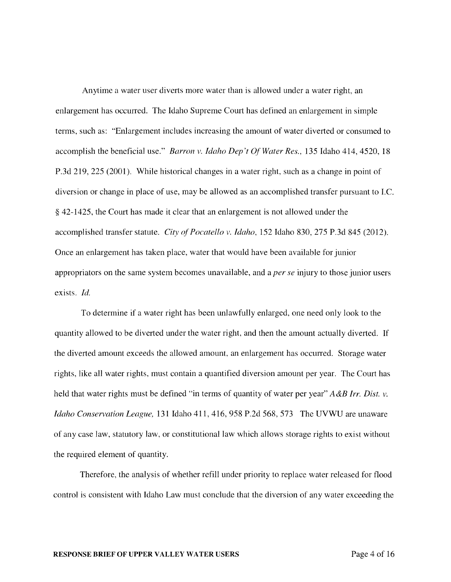Anytime a water user diverts more water than is allowed under a water right, an enlargement has occurred. The Idaho Supreme Court has defined an enlargement in simple terms, such as: "Enlargement includes increasing the amount of water diverted or consumed to accomplish the beneficial use." *Barron v. Idaho Dep't Of Water Res.,* 135 Idaho 414, 4520,18 P.3d 219, 225 (2001). While historical changes in a water right, such as a change in point of diversion or change in place of use, may be allowed as an accomplished transfer pursuant to I.C. § 42-1425, the Court has made it clear that an enlargement is not allowed under the accomplished transfer statute. *City of Pocatello v. Idaho,* 152 Idaho 830, 275 P.3d 845 (2012). Once an enlargement has taken place, water that would have been available for junior appropriators on the same system becomes unavailable, and a *per se* injury to those junior users exists. *Id.* 

To determine if a water right has been unlawfully enlarged, one need only look to the quantity allowed to be diverted under the water right, and then the amount actually diverted. If the diverted amount exceeds the allowed amount, an enlargement has occurred. Storage water rights, like all water rights, must contain a quantified diversion amount per year. The Court has held that water rights must be defined "in terms of quantity of water per year" *A&B Irr. Dist. v. Idaho Conservation League,* 131 Idaho 411, 416, 958 P.2d 568, 573 The UVWU are unaware of any case law, statutory law, or constitutional law which allows storage rights to exist without the required element of quantity.

Therefore, the analysis of whether refill under priority to replace water released for flood control is consistent with Idaho Law must conclude that the diversion of any water exceeding the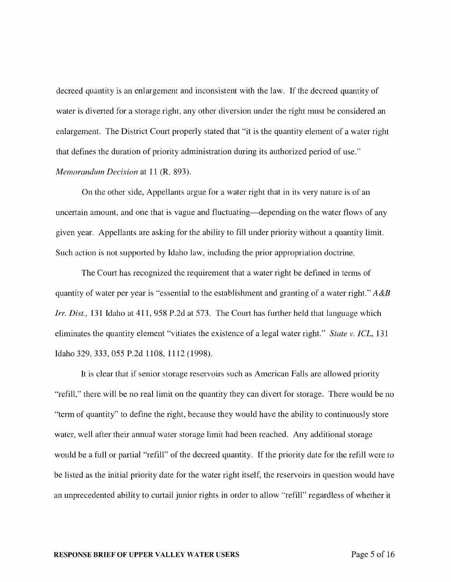decreed quantity is an enlargement and inconsistent with the law. If the decreed quantity of water is diverted for a storage right, any other diversion under the right must be considered an enlargement. The District Court properly stated that "it is the quantity element of a water right that defines the duration of priority administration during its authorized period of use." *Memorandum Decision* at 11 (R. 893).

On the other side, Appellants argue for a water right that in its very nature is of an uncertain amount, and one that is vague and fluctuating-depending on the water flows of any given year. Appellants are asking for the ability to fill under priority without a quantity limit. Such action is not supported by Idaho law, including the prior appropriation doctrine.

The Court has recognized the requirement that a water right be defined in terms of quantity of water per year is "essential to the establishment and granting of a water right." *A&B Irr. Dist.,* 131 Idaho at 411,958 P.2d at 573. The Court has further held that language which eliminates the quantity element "vitiates the existence of a legal water right." *State v. ICL,* 131 Idaho 329,333,055 P.2d 1108, 1112 (1998).

It is clear that if senior storage reservoirs such as American Falls are allowed priority "refill," there will be no real limit on the quantity they can divert for storage. There would be no "term of quantity" to define the right, because they would have the ability to continuously store water, well after their annual water storage limit had been reached. Any additional storage would be a full or partial "refill" of the decreed quantity. If the priority date for the refill were to be listed as the initial priority date for the water right itself, the reservoirs in question would have an unprecedented ability to curtail junior rights in order to allow "refill" regardless of whether it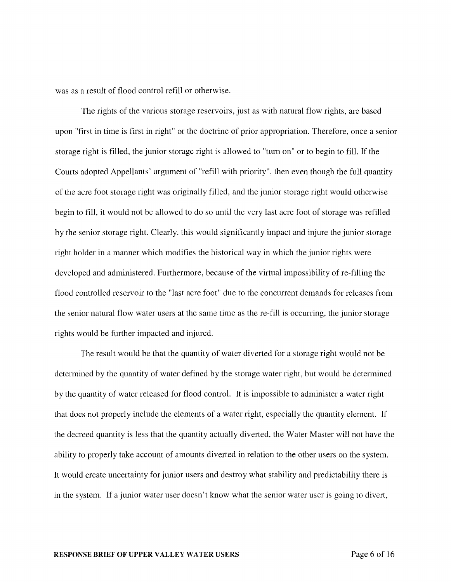was as a result of flood control refill or otherwise.

The rights of the various storage reservoirs, just as with natural flow rights, are based upon "first in time is first in right" or the doctrine of prior appropriation. Therefore, once a senior storage right is filled, the junior storage right is allowed to "turn on" or to begin to fill. If the Courts adopted Appellants' argument of "refill with priority", then even though the full quantity of the acre foot storage right was originally filled, and the junior storage right would otherwise begin to fill, it would not be allowed to do so until the very last acre foot of storage was refilled by the senior storage right. Clearly, this would significantly impact and injure the junior storage right holder in a manner which modifies the historical way in which the junior rights were developed and administered. Furthermore, because of the virtual impossibility of re-filling the flood controlled reservoir to the "last acre foot" due to the concurrent demands for releases from the senior natural flow water users at the same time as the re-fill is occurring, the junior storage rights would be further impacted and injured.

The result would be that the quantity of water diverted for a storage right would not be determined by the quantity of water defined by the storage water right, but would be determined by the quantity of water released for flood control. It is impossible to administer a water right that does not properly include the elements of a water right, especially the quantity element. If the decreed quantity is less that the quantity actually diverted, the Water Master will not have the ability to properly take account of amounts diverted in relation to the other users on the system. It would create uncertainty for junior users and destroy what stability and predictability there is in the system. If a junior water user doesn't know what the senior water user is going to divert,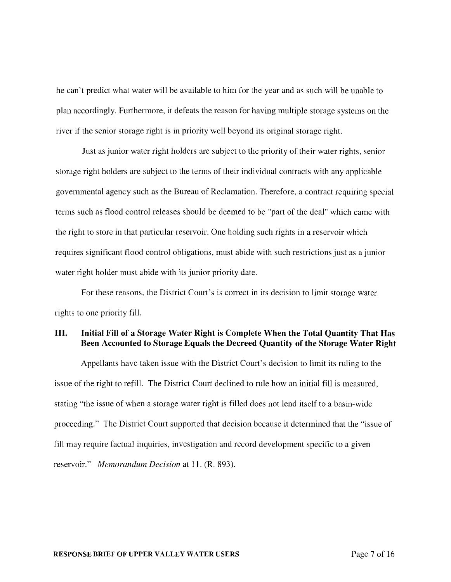he can't predict what water will be available to him for the year and as such will be unable to plan accordingly. Furthermore, it defeats the reason for having multiple storage systems on the river if the senior storage right is in priority well beyond its original storage right.

Just as junior water right holders are subject to the priority of their water rights, senior storage right holders are subject to the terms of their individual contracts with any applicable governmental agency such as the Bureau of Reclamation. Therefore, a contract requiring special terms such as flood control releases should be deemed to be "part of the deal" which came with the right to store in that particular reservoir. One holding such rights in a reservoir which requires significant flood control obligations, must abide with such restrictions just as a junior water right holder must abide with its junior priority date.

For these reasons, the District Court's is correct in its decision to limit storage water rights to one priority fill.

### III. Initial Fill of a Storage Water Right is Complete When the Total Quantity That Has Been Accounted to Storage Equals the Decreed Quantity of the Storage Water Right

Appellants have taken issue with the District Court's decision to limit its ruling to the issue of the right to refill. The District Court declined to rule how an initial fill is measured, stating "the issue of when a storage water right is filled does not lend itself to a basin-wide proceeding." The District Court supported that decision because it determined that the "issue of fill may require factual inquiries, investigation and record development specific to a given reservoir." *Memorandum Decision* at 11. (R. 893).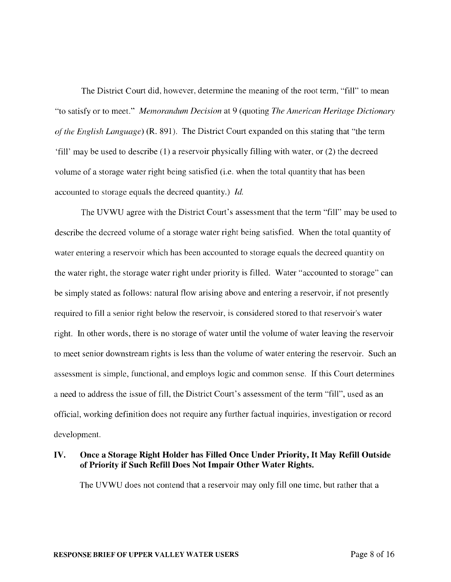The District Court did, however, determine the meaning of the root term, "fill" to mean "to satisfy or to meet." *Memorandum Decision* at 9 (quoting *The American Heritage Dictionary of the English Language)* (R. 891). The District Court expanded on this stating that "the term 'fill' may be used to describe (1) a reservoir physically filling with water, or (2) the decreed volume of a storage water right being satisfied (i.e. when the total quantity that has been accounted to storage equals the decreed quantity.) *Id.* 

The UVWU agree with the District Court's assessment that the term "fill" may be used to describe the decreed volume of a storage water right being satisfied. When the total quantity of water entering a reservoir which has been accounted to storage equals the decreed quantity on the water right, the storage water right under priority is filled. Water "accounted to storage" can be simply stated as follows: natural flow arising above and entering a reservoir, if not presently required to fill a senior right below the reservoir, is considered stored to that reservoir's water right. In other words, there is no storage of water until the volume of water leaving the reservoir to meet senior downstream rights is less than the volume of water entering the reservoir. Such an assessment is simple, functional, and employs logic and common sense. If this Court determines a need to address the issue of fill, the District Court's assessment of the term "fill", used as an official, working definition does not require any further factual inquiries, investigation or record development.

### IV. Once a Storage Right Holder has Filled Once Under Priority, It May Refill Outside of Priority if Such Refill Does Not Impair Other Water Rights.

The UVWU does not contend that a reservoir may only fill one time, but rather that a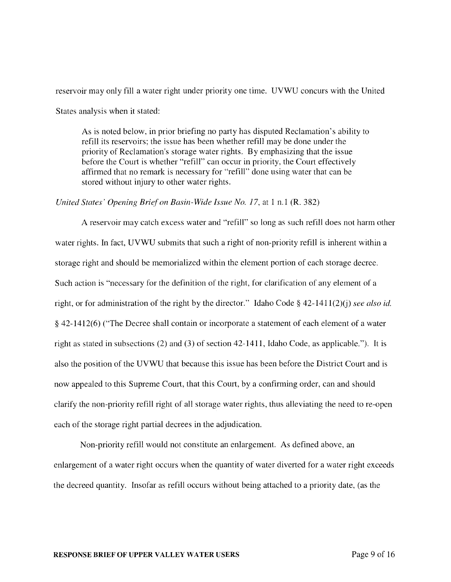reservoir may only fill a water right under priority one time. UVWU concurs with the United States analysis when it stated:

As is noted below, in prior briefing no party has disputed Reclamation's ability to refill its reservoirs; the issue has been whether refill may be done under the priority of Reclamation's storage water rights. By emphasizing that the issue before the Court is whether "refill" can occur in priority, the Court effectively affirmed that no remark is necessary for "refill" done using water that can be stored without injury to other water rights.

#### *United States' Opening Brief on Basin-Wide Issue No. 17, at 1 n.1 (R. 382)*

A reservoir may catch excess water and "refill" so long as such refill does not harm other water rights. In fact, UVWU submits that such a right of non-priority refill is inherent within a storage right and should be memorialized within the element portion of each storage decree. Such action is "necessary for the definition of the right, for clarification of any element of a right, or for administration of the right by the director." Idaho Code § 42-1411(2)(j) *see also id.*  § 42-1412(6) ("The Decree shall contain or incorporate a statement of each element of a water right as stated in subsections (2) and (3) of section 42-1411, Idaho Code, as applicable."). It is also the position of the UVWU that because this issue has been before the District Court and is now appealed to this Supreme Court, that this Court, by a confirming order, can and should clarify the non-priority refill right of all storage water rights, thus alleviating the need to re-open each of the storage right partial decrees in the adjudication.

Non-priority refill would not constitute an enlargement. As defined above, an enlargement of a water right occurs when the quantity of water diverted for a water right exceeds the decreed quantity. Insofar as refill occurs without being attached to a priority date, (as the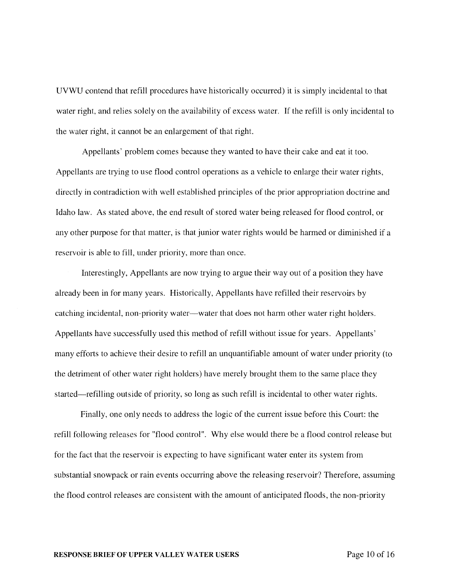UVWU contend that refill procedures have historically occurred) it is simply incidental to that water right, and relies solely on the availability of excess water. If the refill is only incidental to the water right, it cannot be an enlargement of that right.

Appellants' problem comes because they wanted to have their cake and eat it too. Appellants are trying to use flood control operations as a vehicle to enlarge their water rights, directly in contradiction with well established principles of the prior appropriation doctrine and Idaho law. As stated above, the end result of stored water being released for flood control, or any other purpose for that matter, is that junior water rights would be harmed or diminished if a reservoir is able to fill, under priority, more than once.

Interestingly, Appellants are now trying to argue their way out of a position they have already been in for many years. Historically, Appellants have refilled their reservoirs by catching incidental, non-priority water-water that does not harm other water right holders. Appellants have successfully used this method of refill without issue for years. Appellants' many efforts to achieve their desire to refill an unquantifiable amount of water under priority (to the detriment of other water right holders) have merely brought them to the same place they started-refilling outside of priority, so long as such refill is incidental to other water rights.

Finally, one only needs to address the logic of the current issue before this Court: the refill following releases for "flood control". Why else would there be a flood control release but for the fact that the reservoir is expecting to have significant water enter its system from substantial snowpack or rain events occurring above the releasing reservoir? Therefore, assuming the flood control releases are consistent with the amount of anticipated floods, the non-priority

#### **RESPONSE BRIEF OF UPPER VALLEY WATER USERS** Page 10 of 16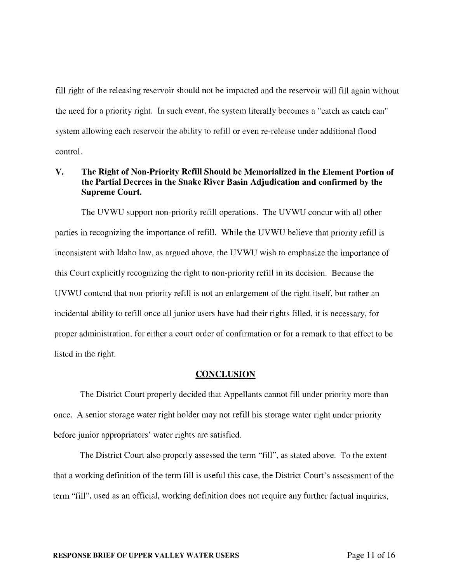fill right of the releasing reservoir should not be impacted and the reservoir will fill again without the need for a priority right. In such event, the system literally becomes a "catch as catch can" system allowing each reservoir the ability to refill or even re-release under additional flood control.

### V. The Right of Non-Priority Refill Should be Memorialized in the Element Portion of the Partial Decrees in the Snake River Basin Adjudication and confirmed by the Supreme Court.

The UVWU support non-priority refill operations. The UVWU concur with all other parties in recognizing the importance of refill. While the UVWU believe that priority refill is inconsistent with Idaho law, as argued above, the UVWU wish to emphasize the importance of this Court explicitly recognizing the right to non-priority refill in its decision. Because the UVWU contend that non-priority refill is not an enlargement of the right itself, but rather an incidental ability to refill once all junior users have had their rights filled, it is necessary, for proper administration, for either a court order of confirmation or for a remark to that effect to be listed in the right.

#### **CONCLUSION**

The District Court properly decided that Appellants cannot fill under priority more than once. A senior storage water right holder may not refill his storage water right under priority before junior appropriators' water rights are satisfied.

The District Court also properly assessed the term "fill", as stated above. To the extent that a working definition of the term fill is useful this case, the District Court's assessment of the term "fill", used as an official, working definition does not require any further factual inquiries,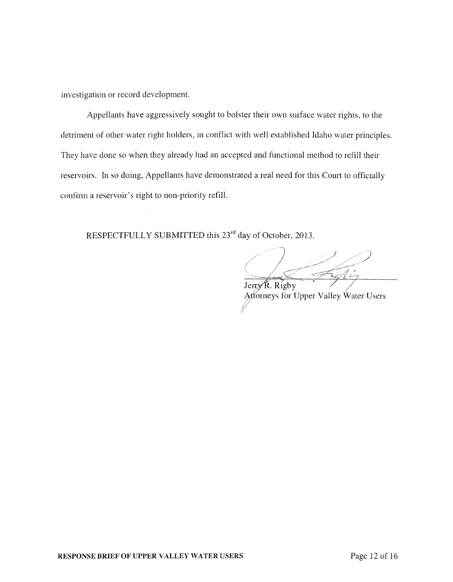investigation or record development.

Appellants have aggressively sought to bolster their own surface water rights, to the detriment of other water right holders, in conflict with well established Idaho water principles. They have done so when they already had an accepted and functional method to refill their reservoirs. In so doing, Appellants have demonstrated a real need for this Court to officially confirm a reservoir's right to non-priority refill.

RESPECTFULLY SUBMITTED this 23<sup>rd</sup> day of October, 2013.

 $JerryR$ . Rigby Attorneys for Upper Valley Water Users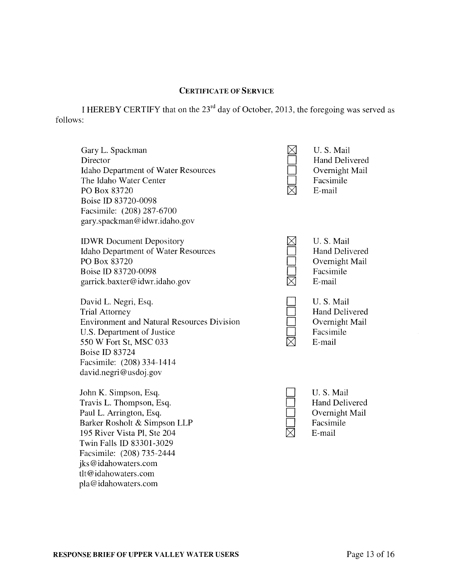#### CERTIFICATE OF SERVICE

I HEREBY CERTIFY that on the 23rd day of October, 2013, the foregoing was served as follows:

Gary L. Spackman Director Idaho Department of Water Resources The Idaho Water Center PO Box 83720 Boise ID 83720-0098 Facsimile: (208) 287-6700 gary. spackman @idwr.idaho.gov

IDWR Document Depository Idaho Department of Water Resources PO Box 83720 Boise ID 83720-0098 garrick.baxter@idwr.idaho.gov

David L. Negri, Esq. Trial Attorney Environment and Natural Resources Division U.S. Department of Justice 550 W Fort St, MSC 033 Boise ID 83724 Facsimile: (208) 334-1414 david.negri@usdoj.gov

John K. Simpson, Esq. Travis L. Thompson, Esq. Paul L. Arrington, Esq. Barker Rosholt & Simpson LLP 195 River Vista PI, Ste 204 Twin Falls ID 83301-3029 Facsimile: (208) 735-2444 jks@idahowaters.com tlt@idahowaters.com pla@idahowaters.com



U. S. Mail Hand Delivered Overnight Mail Facsimile E-mail

 $\Box$  $\Box$  $\Box$  $\Box$  $\boxtimes$ 

U. S. Mail Hand Delivered Overnight Mail Facsimile E-mail



u. S. Mail Hand Delivered Overnight Mail Facsimile E-mail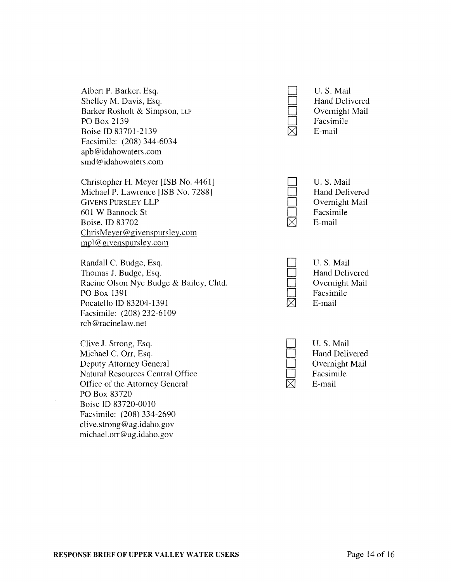Albert P. Barker, Esq. D. S. Mail U. S. Mail U. S. Mail U. S. Mail U. S. Mail U. S. Mail U. S. Mail U. S. Mail Shelley M. Davis, Esq. <br>Barker Rosholt & Simpson, LLP Delivered Delivered Delivered Barker Rosholt & Simpson, LLP  $\Box$  Overnight D Overnight Mail D Overnight PO Box 2139 **D** Facsim<br>Boise ID 83701-2139 **D** Facsim Boise ID 83701-2139 Facsimile: (208) 344-6034 apb@ idahowaters. com smd@idahowaters.com

Christopher H. Meyer [ISB No. 4461] U.S. Mail U.S. Mail U.S. Mail U.S. Mail Michael P. Lawrence [ISB No. 7288] Hand Delivered<br>GIVENS PURSLEY LLP Dvernight Mail GIVENS PURSLEY LLP<br>
601 W Bannock St<br>
Facsimile 601 W Bannock St Facsim<br>Boise, ID 83702  $\boxtimes$  E-mail Boise, ID 83702  $ChristMeyer@givenspureley.com$ mpl@givenspursley.com

Randall C. Budge, Esq.  $\Box$  U. S. Mail U. S. Mail U. S. Mail U. S. Mail U. S. Mail U. S. Mail U. S. Mail U. S. Mail U. S. Mail U. S. Mail U. S. Mail U. S. Mail U. S. Mail U. S. Mail U. S. Mail U. S. Mail U. S. Mail U. S. M Thomas J. Budge, Esq. <br>
Racine Olson Nye Budge & Bailey, Chtd. Delivered Delivered Overnight Mail Racine Olson Nye Budge & Bailey, Chtd. D Overnight D Overnight PO Box 1391 PO Box 1391  $\Box$  Facsimile Pocatello ID 83204-1391  $\boxtimes$  E-mail Facsimile: (208) 232-6109 rcb@racinelaw.net

Clive J. Strong, Esq. D U. S. Mail U. S. Mail U. S. Mail U. S. Mail U. S. Mail U. S. Mail U. S. Mail U. S. Mail U. S. Mail U. S. Mail U. S. Mail U. S. Mail U. S. Mail U. S. Mail U. S. Mail U. S. Mail U. S. Mail U. S. Mail Michael C. Orr, Esq. [10] Hand Delivered Deputy Attorney General Property Attorney General Property Attorney General Property Attorney General Property Attorney General Property Attorney General Property Attorney General P Deputy Attorney General Deputy Attorney General Deputy Attorney General D Overnight D Overnight D Overnight Natural Resources Central Office<br>  $\Box$  E-mail Diffice  $\Box$  Facsim<br>  $\Box$  E-mail Office of the Attorney General PO Box 83720 Boise ID 83720-0010 Facsimile: (208) 334-2690 clive.strong@ag.idaho.gov michael.orr@ag.idaho.gov





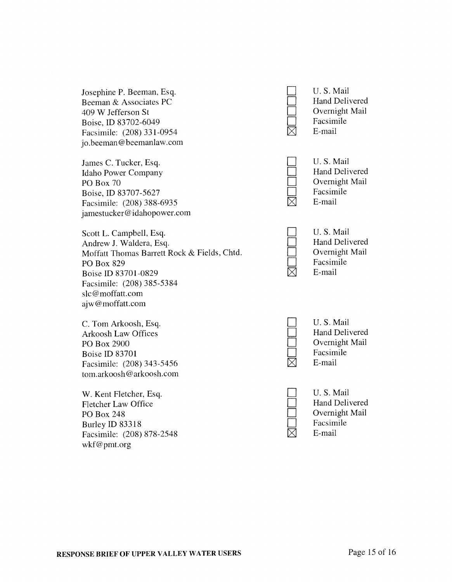Josephine P. Beeman, Esq. D U. S. Mail U. S. Mail U. S. Mail Beeman & Associates PC Beeman & Associates PC 409 W Jefferson St<br>
Boise ID 83702-6049<br>
Boise ID 83702-6049 Boise, ID 83702-6049 Facsim E-mail Facsim E-mail Facsim  $\boxtimes$  Facsim Facsimile:  $(208) 331 - 0954$   $\Box$ jo.beeman@beemanlaw.com

James C. Tucker, Esq. D U. S. Mail U. S. Mail U. S. Mail U. S. Mail Idaho Power Company PO Box 70 Overnight Mail<br>Roise ID 83707-5627 Conservation Conservation Conservation Conservation Conservation Conservation Conservation Conservation Conservation Conservation Conservation Conservation Conservation Conserva Boise, ID 83707-5627 Facsimile:  $(208)$  388-6935  $\Box$  Facsimile:  $(208)$  388-6935 Facsimile: (208) 388-6935 jamestucker@idahopower.com

Scott L. Campbell, Esq. D U. S. Mail<br>Andrew J. Waldera, Esq. D and Delivered Andrew J. Waldera, Esq. [1] Hand Delivered Moffatt Thomas Barrett Rock & Fields, Chtd. [2015] Delivered Moffatt Thomas Barrett Rock & Fields, Chtd. Department Overnight<br>PO Box 829 Facsimile PO Box 829 Facsim  $\Box$  Facsim<br>
Roise ID 83701-0829  $\Box$  E-mail Boise ID 83701-0829 Facsimile: (208) 385-5384 slc@moffatt.com ajw@moffatt.com

C. Tom Arkoosh, Esq. D U. S. Mail<br>Arkoosh Law Offices and Delivered Hand Delivered Arkoosh Law Offices PO Box 2900 D Overnight Mail<br>Roise ID 83701 Boise D 83701 Boise ID 83701 Facsim<br>
Facsimile: (208) 343-5456  $\boxtimes$  E-mail Facsimile:  $(208)$  343-5456  $\blacksquare$ tom.arkoosh@arkoosh.com

W. Kent Fletcher, Esq. D U. S. Mail<br>Fletcher Law Office **Example 20** U. S. Mail Hand Delivered Fletcher Law Office PO Box 248 Overnight Mail<br>Rurley ID 83318 Facsimile Burley ID 83318 Facsimile:  $(208)$  878-2548  $\boxtimes$  Facsimile:  $(208)$  878-2548 Facsimile: (208) 878-2548 wkf@pmt.org

| __         |  |
|------------|--|
| ٠<br><br>. |  |
|            |  |
|            |  |